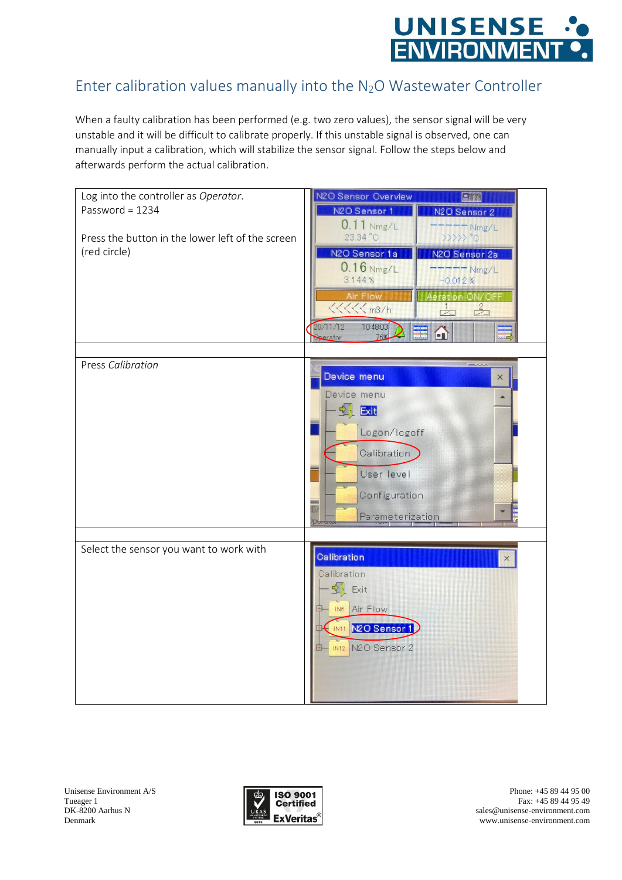

## Enter calibration values manually into the N2O Wastewater Controller

When a faulty calibration has been performed (e.g. two zero values), the sensor signal will be very unstable and it will be difficult to calibrate properly. If this unstable signal is observed, one can manually input a calibration, which will stabilize the sensor signal. Follow the steps below and afterwards perform the actual calibration.



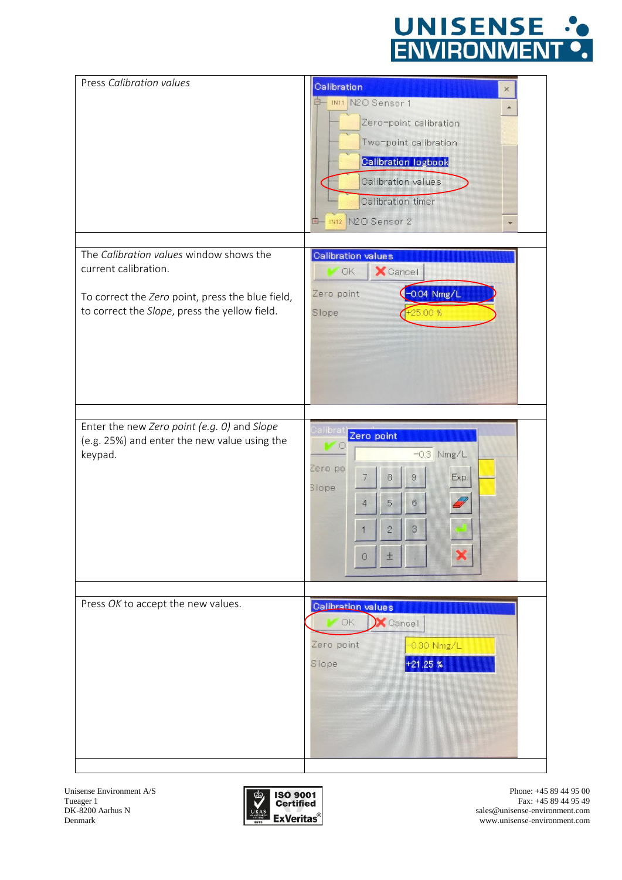

| Press Calibration values                                | Calibration<br>×                                          |
|---------------------------------------------------------|-----------------------------------------------------------|
|                                                         | IMIT N2O Sensor 1                                         |
|                                                         | Zero-point calibration<br>Two-point calibration           |
|                                                         | <b>Calibration logbook</b>                                |
|                                                         | Calibration values                                        |
|                                                         | Calibration timer                                         |
|                                                         | IN12 N2O Sensor 2<br>$+1$                                 |
| The Calibration values window shows the                 | Calibration values                                        |
| current calibration.                                    | <b>X</b> Cancel<br><b>OK</b>                              |
| To correct the Zero point, press the blue field,        | $-0.04$ Nmg/L<br>Zero point                               |
| to correct the Slope, press the yellow field.           | $+25.00%$<br>Slope                                        |
|                                                         |                                                           |
|                                                         |                                                           |
|                                                         |                                                           |
|                                                         |                                                           |
|                                                         |                                                           |
| Enter the new Zero point (e.g. 0) and Slope             | Calibra<br>Zero point                                     |
| (e.g. 25%) and enter the new value using the<br>keypad. | $\circ$<br>$-0.3$ Nmg/L                                   |
|                                                         | Zero po<br>Exp.<br>8<br>9<br>7                            |
|                                                         | Slope<br>$\mathbb{G}$<br>$\sqrt{5}$<br>4                  |
|                                                         | $\overline{2}$<br>$\mathbf{3}$                            |
|                                                         | $\pm$<br>$\circ$                                          |
|                                                         |                                                           |
|                                                         |                                                           |
| Press OK to accept the new values.                      | Calibration values<br>OK.<br>$\blacktriangleright$ Cancel |
|                                                         | Zero point<br>-0.30 Nmg/L                                 |
|                                                         | 21.25%<br>Slope                                           |
|                                                         |                                                           |
|                                                         |                                                           |
|                                                         |                                                           |



Phone: +45 89 44 95 00 Fax: +45 89 44 95 49 sales@unisense-environment.com www.unisense-environment.com